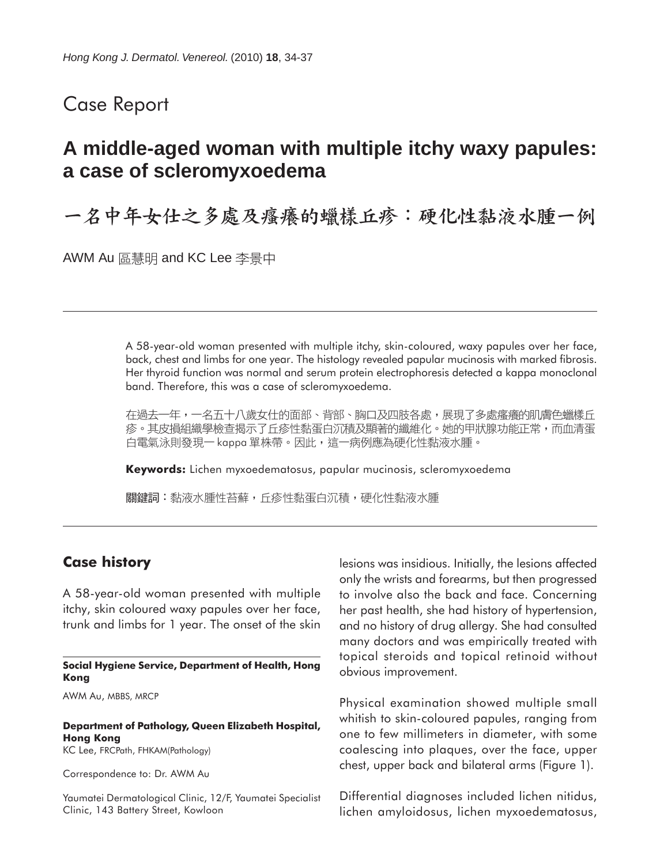## Case Report

# **A middle-aged woman with multiple itchy waxy papules: a case of scleromyxoedema**

一名中年女仕之多處及瘙癢的蠟樣丘疹:硬化性黏液水腫一例

AWM Au 區慧明 and KC Lee 李景中

A 58-year-old woman presented with multiple itchy, skin-coloured, waxy papules over her face, back, chest and limbs for one year. The histology revealed papular mucinosis with marked fibrosis. Her thyroid function was normal and serum protein electrophoresis detected a kappa monoclonal band. Therefore, this was a case of scleromyxoedema.

在過去一年,一名五十八歲女仕的面部、背部、胸口及四肢各處,展現了多處瘙癢的肌膚色蠟樣丘 疹。其皮損組織學檢查揭示了丘疹性黏蛋白沉積及顯著的纖維化。她的甲狀腺功能正常,而血清蛋 白電氣泳則發現一 kappa 單株帶。因此,這一病例應為硬化性黏液水腫。

**Keywords:** Lichen myxoedematosus, papular mucinosis, scleromyxoedema

關鍵詞:黏液水腫性苔蘚,斤疹性黏蛋白沉積,硬化性黏液水腫

#### **Case history**

A 58-year-old woman presented with multiple itchy, skin coloured waxy papules over her face, trunk and limbs for 1 year. The onset of the skin

**Social Hygiene Service, Department of Health, Hong Kong**

AWM Au, MBBS, MRCP

**Department of Pathology, Queen Elizabeth Hospital, Hong Kong** KC Lee, FRCPath, FHKAM(Pathology)

Correspondence to: Dr. AWM Au

Yaumatei Dermatological Clinic, 12/F, Yaumatei Specialist Clinic, 143 Battery Street, Kowloon

lesions was insidious. Initially, the lesions affected only the wrists and forearms, but then progressed to involve also the back and face. Concerning her past health, she had history of hypertension, and no history of drug allergy. She had consulted many doctors and was empirically treated with topical steroids and topical retinoid without obvious improvement.

Physical examination showed multiple small whitish to skin-coloured papules, ranging from one to few millimeters in diameter, with some coalescing into plaques, over the face, upper chest, upper back and bilateral arms (Figure 1).

Differential diagnoses included lichen nitidus, lichen amyloidosus, lichen myxoedematosus,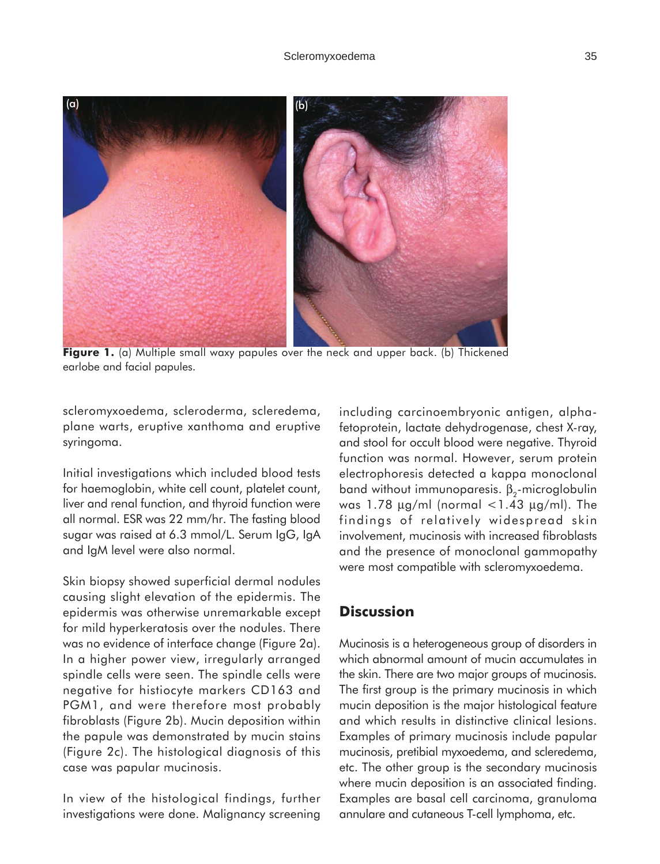

**Figure 1.** (a) Multiple small waxy papules over the neck and upper back. (b) Thickened earlobe and facial papules.

scleromyxoedema, scleroderma, scleredema, plane warts, eruptive xanthoma and eruptive syringoma.

Initial investigations which included blood tests for haemoglobin, white cell count, platelet count, liver and renal function, and thyroid function were all normal. ESR was 22 mm/hr. The fasting blood sugar was raised at 6.3 mmol/L. Serum IgG, IgA and IgM level were also normal.

Skin biopsy showed superficial dermal nodules causing slight elevation of the epidermis. The epidermis was otherwise unremarkable except for mild hyperkeratosis over the nodules. There was no evidence of interface change (Figure 2a). In a higher power view, irregularly arranged spindle cells were seen. The spindle cells were negative for histiocyte markers CD163 and PGM1, and were therefore most probably fibroblasts (Figure 2b). Mucin deposition within the papule was demonstrated by mucin stains (Figure 2c). The histological diagnosis of this case was papular mucinosis.

In view of the histological findings, further investigations were done. Malignancy screening including carcinoembryonic antigen, alphafetoprotein, lactate dehydrogenase, chest X-ray, and stool for occult blood were negative. Thyroid function was normal. However, serum protein electrophoresis detected a kappa monoclonal band without immunoparesis.  $\beta_2$ -microglobulin was  $1.78 \mu g/ml$  (normal  $< 1.43 \mu g/ml$ ). The findings of relatively widespread skin involvement, mucinosis with increased fibroblasts and the presence of monoclonal gammopathy were most compatible with scleromyxoedema.

### **Discussion**

Mucinosis is a heterogeneous group of disorders in which abnormal amount of mucin accumulates in the skin. There are two major groups of mucinosis. The first group is the primary mucinosis in which mucin deposition is the major histological feature and which results in distinctive clinical lesions. Examples of primary mucinosis include papular mucinosis, pretibial myxoedema, and scleredema, etc. The other group is the secondary mucinosis where mucin deposition is an associated finding. Examples are basal cell carcinoma, granuloma annulare and cutaneous T-cell lymphoma, etc.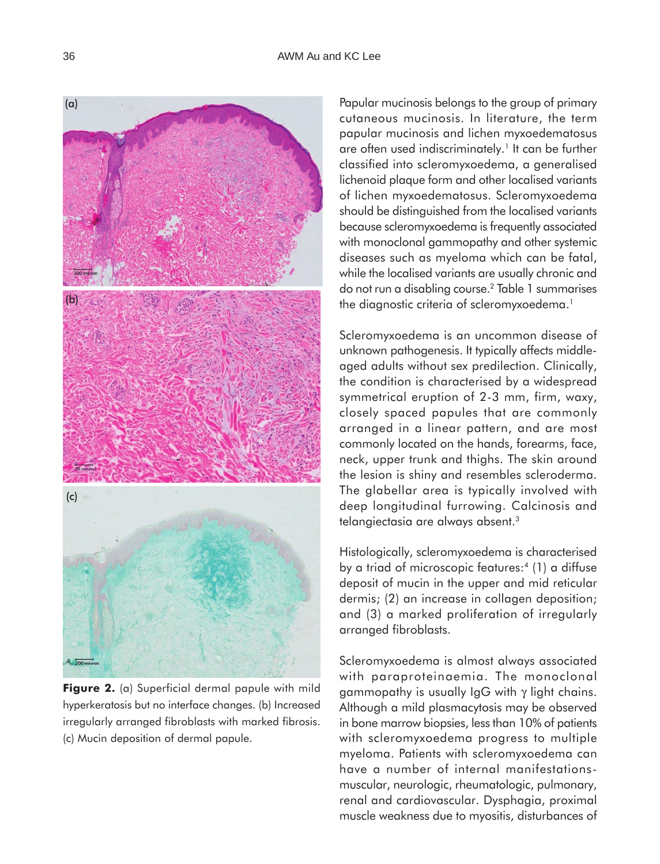(a) (b) (c)

**Figure 2.** (a) Superficial dermal papule with mild hyperkeratosis but no interface changes. (b) Increased irregularly arranged fibroblasts with marked fibrosis. (c) Mucin deposition of dermal papule.

Papular mucinosis belongs to the group of primary cutaneous mucinosis. In literature, the term papular mucinosis and lichen myxoedematosus are often used indiscriminately.<sup>1</sup> It can be further classified into scleromyxoedema, a generalised lichenoid plaque form and other localised variants of lichen myxoedematosus. Scleromyxoedema should be distinguished from the localised variants because scleromyxoedema is frequently associated with monoclonal gammopathy and other systemic diseases such as myeloma which can be fatal, while the localised variants are usually chronic and do not run a disabling course.2 Table 1 summarises the diagnostic criteria of scleromyxoedema.<sup>1</sup>

Scleromyxoedema is an uncommon disease of unknown pathogenesis. It typically affects middleaged adults without sex predilection. Clinically, the condition is characterised by a widespread symmetrical eruption of 2-3 mm, firm, waxy, closely spaced papules that are commonly arranged in a linear pattern, and are most commonly located on the hands, forearms, face, neck, upper trunk and thighs. The skin around the lesion is shiny and resembles scleroderma. The glabellar area is typically involved with deep longitudinal furrowing. Calcinosis and telangiectasia are always absent.3

Histologically, scleromyxoedema is characterised by a triad of microscopic features:<sup>4</sup> (1) a diffuse deposit of mucin in the upper and mid reticular dermis; (2) an increase in collagen deposition; and (3) a marked proliferation of irregularly arranged fibroblasts.

Scleromyxoedema is almost always associated with paraproteinaemia. The monoclonal gammopathy is usually IgG with γ light chains. Although a mild plasmacytosis may be observed in bone marrow biopsies, less than 10% of patients with scleromyxoedema progress to multiple myeloma. Patients with scleromyxoedema can have a number of internal manifestationsmuscular, neurologic, rheumatologic, pulmonary, renal and cardiovascular. Dysphagia, proximal muscle weakness due to myositis, disturbances of